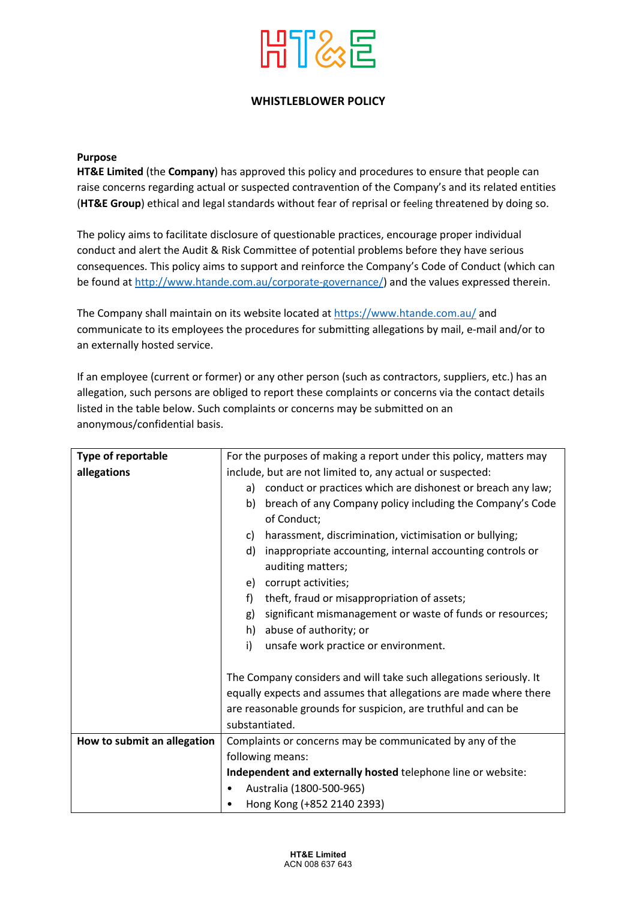

## **WHISTLEBLOWER POLICY**

## **Purpose**

**HT&E Limited** (the **Company**) has approved this policy and procedures to ensure that people can raise concerns regarding actual or suspected contravention of the Company's and its related entities (**HT&E Group**) ethical and legal standards without fear of reprisal or feeling threatened by doing so.

The policy aims to facilitate disclosure of questionable practices, encourage proper individual conduct and alert the Audit & Risk Committee of potential problems before they have serious consequences. This policy aims to support and reinforce the Company's Code of Conduct (which can be found at http://www.htande.com.au/corporate-governance/) and the values expressed therein.

The Company shall maintain on its website located at https://www.htande.com.au/ and communicate to its employees the procedures for submitting allegations by mail, e-mail and/or to an externally hosted service.

If an employee (current or former) or any other person (such as contractors, suppliers, etc.) has an allegation, such persons are obliged to report these complaints or concerns via the contact details listed in the table below. Such complaints or concerns may be submitted on an anonymous/confidential basis.

| Type of reportable          | For the purposes of making a report under this policy, matters may |
|-----------------------------|--------------------------------------------------------------------|
| allegations                 | include, but are not limited to, any actual or suspected:          |
|                             | conduct or practices which are dishonest or breach any law;<br>a)  |
|                             | breach of any Company policy including the Company's Code<br>b)    |
|                             | of Conduct;                                                        |
|                             | harassment, discrimination, victimisation or bullying;<br>C)       |
|                             | d)<br>inappropriate accounting, internal accounting controls or    |
|                             | auditing matters;                                                  |
|                             | corrupt activities;<br>e)                                          |
|                             | f)<br>theft, fraud or misappropriation of assets;                  |
|                             | significant mismanagement or waste of funds or resources;<br>g)    |
|                             | abuse of authority; or<br>h)                                       |
|                             | i)<br>unsafe work practice or environment.                         |
|                             |                                                                    |
|                             | The Company considers and will take such allegations seriously. It |
|                             | equally expects and assumes that allegations are made where there  |
|                             | are reasonable grounds for suspicion, are truthful and can be      |
|                             | substantiated.                                                     |
| How to submit an allegation | Complaints or concerns may be communicated by any of the           |
|                             | following means:                                                   |
|                             | Independent and externally hosted telephone line or website:       |
|                             | Australia (1800-500-965)                                           |
|                             | Hong Kong (+852 2140 2393)                                         |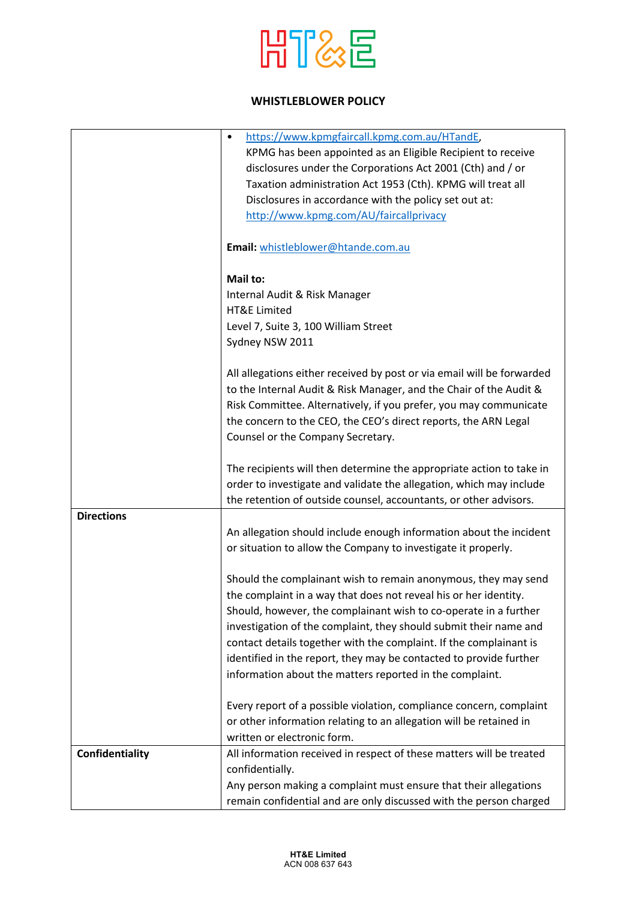

## **WHISTLEBLOWER POLICY**

|                        | https://www.kpmgfaircall.kpmg.com.au/HTandE,<br>$\bullet$              |
|------------------------|------------------------------------------------------------------------|
|                        | KPMG has been appointed as an Eligible Recipient to receive            |
|                        | disclosures under the Corporations Act 2001 (Cth) and / or             |
|                        | Taxation administration Act 1953 (Cth). KPMG will treat all            |
|                        | Disclosures in accordance with the policy set out at:                  |
|                        |                                                                        |
|                        | http://www.kpmg.com/AU/faircallprivacy                                 |
|                        |                                                                        |
|                        | Email: whistleblower@htande.com.au                                     |
|                        |                                                                        |
|                        | Mail to:                                                               |
|                        | Internal Audit & Risk Manager                                          |
|                        | <b>HT&amp;E Limited</b>                                                |
|                        | Level 7, Suite 3, 100 William Street                                   |
|                        |                                                                        |
|                        | Sydney NSW 2011                                                        |
|                        |                                                                        |
|                        | All allegations either received by post or via email will be forwarded |
|                        | to the Internal Audit & Risk Manager, and the Chair of the Audit &     |
|                        | Risk Committee. Alternatively, if you prefer, you may communicate      |
|                        | the concern to the CEO, the CEO's direct reports, the ARN Legal        |
|                        | Counsel or the Company Secretary.                                      |
|                        |                                                                        |
|                        | The recipients will then determine the appropriate action to take in   |
|                        | order to investigate and validate the allegation, which may include    |
|                        | the retention of outside counsel, accountants, or other advisors.      |
| <b>Directions</b>      |                                                                        |
|                        |                                                                        |
|                        | An allegation should include enough information about the incident     |
|                        | or situation to allow the Company to investigate it properly.          |
|                        |                                                                        |
|                        | Should the complainant wish to remain anonymous, they may send         |
|                        | the complaint in a way that does not reveal his or her identity.       |
|                        | Should, however, the complainant wish to co-operate in a further       |
|                        | investigation of the complaint, they should submit their name and      |
|                        | contact details together with the complaint. If the complainant is     |
|                        | identified in the report, they may be contacted to provide further     |
|                        |                                                                        |
|                        | information about the matters reported in the complaint.               |
|                        |                                                                        |
|                        | Every report of a possible violation, compliance concern, complaint    |
|                        | or other information relating to an allegation will be retained in     |
|                        | written or electronic form.                                            |
| <b>Confidentiality</b> | All information received in respect of these matters will be treated   |
|                        | confidentially.                                                        |
|                        | Any person making a complaint must ensure that their allegations       |
|                        | remain confidential and are only discussed with the person charged     |
|                        |                                                                        |